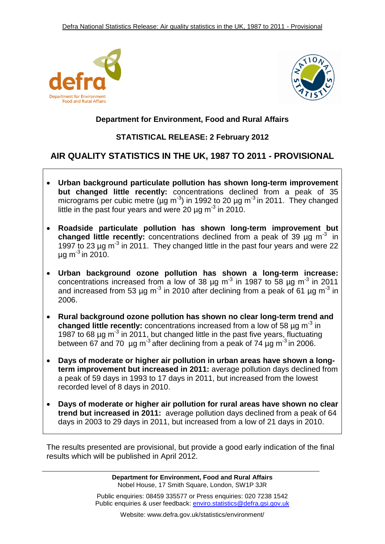



# **Department for Environment, Food and Rural Affairs**

# **STATISTICAL RELEASE: 2 February 2012**

# **AIR QUALITY STATISTICS IN THE UK, 1987 TO 2011 - PROVISIONAL**

- **Urban background particulate pollution has shown long-term improvement but changed little recently:** concentrations declined from a peak of 35 micrograms per cubic metre ( $\mu$ g m<sup>-3</sup>) in 1992 to 20  $\mu$ g m<sup>-3</sup> in 2011. They changed little in the past four years and were 20  $\mu$ g m<sup>-3</sup> in 2010.
- **Roadside particulate pollution has shown long-term improvement but changed little recently:** concentrations declined from a peak of 39 ug m<sup>-3</sup> in 1997 to 23  $\mu$ g m<sup>-3</sup> in 2011. They changed little in the past four years and were 22  $\mu$ g m<sup>-3</sup> in 2010.
- **Urban background ozone pollution has shown a long-term increase:**  concentrations increased from a low of 38  $\mu$ g m<sup>-3</sup> in 1987 to 58  $\mu$ g m<sup>-3</sup> in 2011 and increased from 53 µg m<sup>-3</sup> in 2010 after declining from a peak of 61 µg m<sup>-3</sup> in 2006.
- **Rural background ozone pollution has shown no clear long-term trend and** changed little recently: concentrations increased from a low of 58 µg m<sup>-3</sup> in 1987 to 68  $\mu$ g m<sup>-3</sup> in 2011, but changed little in the past five years, fluctuating between 67 and 70  $\mu$ g m<sup>-3</sup> after declining from a peak of 74  $\mu$ g m<sup>-3</sup> in 2006.
- **Days of moderate or higher air pollution in urban areas have shown a longterm improvement but increased in 2011:** average pollution days declined from a peak of 59 days in 1993 to 17 days in 2011, but increased from the lowest recorded level of 8 days in 2010.
- **Days of moderate or higher air pollution for rural areas have shown no clear trend but increased in 2011:** average pollution days declined from a peak of 64 days in 2003 to 29 days in 2011, but increased from a low of 21 days in 2010.

The results presented are provisional, but provide a good early indication of the final results which will be published in April 2012.

> **Department for Environment, Food and Rural Affairs** Nobel House, 17 Smith Square, London, SW1P 3JR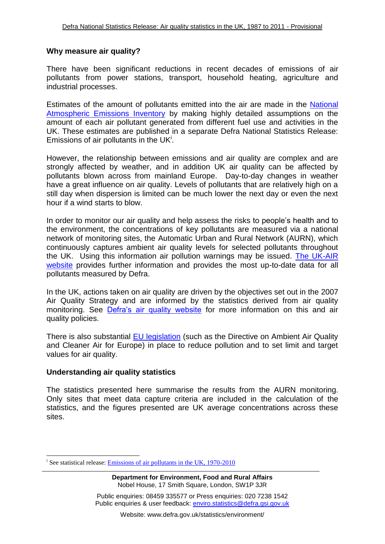#### **Why measure air quality?**

There have been significant reductions in recent decades of emissions of air pollutants from power stations, transport, household heating, agriculture and industrial processes.

Estimates of the amount of pollutants emitted into the air are made in the [National](http://www.naei.org.uk/)  [Atmospheric Emissions Inventory](http://www.naei.org.uk/) by making highly detailed assumptions on the amount of each air pollutant generated from different fuel use and activities in the UK. These estimates are published in a separate Defra National Statistics Release: Emissions of air pollutants in the UK<sup>i</sup>.

However, the relationship between emissions and air quality are complex and are strongly affected by weather, and in addition UK air quality can be affected by pollutants blown across from mainland Europe. Day-to-day changes in weather have a great influence on air quality. Levels of pollutants that are relatively high on a still day when dispersion is limited can be much lower the next day or even the next hour if a wind starts to blow.

In order to monitor our air quality and help assess the risks to people's health and to the environment, the concentrations of key pollutants are measured via a national network of monitoring sites, the Automatic Urban and Rural Network (AURN), which continuously captures ambient air quality levels for selected pollutants throughout the UK. Using this information air pollution warnings may be issued. [The UK-AIR](http://uk-air.defra.gov.uk/)  [website](http://uk-air.defra.gov.uk/) provides further information and provides the most up-to-date data for all pollutants measured by Defra.

In the UK, actions taken on air quality are driven by the objectives set out in the 2007 Air Quality Strategy and are informed by the statistics derived from air quality monitoring. See [Defra's air quality website](http://www.defra.gov.uk/environment/quality/air/air-quality/) for more information on this and air quality policies.

There is also substantial [EU legislation](http://www.eea.europa.eu/themes/air/policy-context) (such as the Directive on Ambient Air Quality and Cleaner Air for Europe) in place to reduce pollution and to set limit and target values for air quality.

#### **Understanding air quality statistics**

-

The statistics presented here summarise the results from the AURN monitoring. Only sites that meet data capture criteria are included in the calculation of the statistics, and the figures presented are UK average concentrations across these sites.

<sup>&</sup>lt;sup>i</sup> See statistical release: **Emissions of air pollutants in the UK, 1970-2010** 

**Department for Environment, Food and Rural Affairs** Nobel House, 17 Smith Square, London, SW1P 3JR

Public enquiries: 08459 335577 or Press enquiries: 020 7238 1542 Public enquiries & user feedback: enviro.statistics@defra.gsi.gov.uk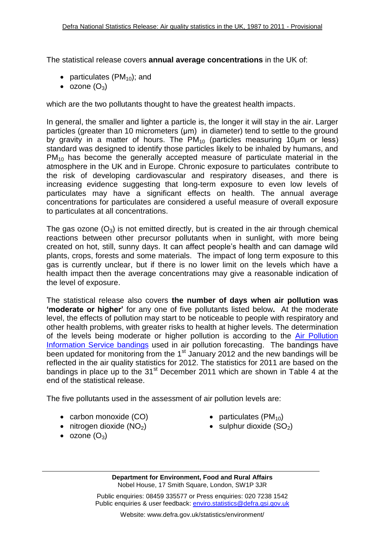The statistical release covers **annual average concentrations** in the UK of:

- particulates  $(PM_{10})$ ; and
- $\bullet$  ozone  $(O_3)$

which are the two pollutants thought to have the greatest health impacts.

In general, the smaller and lighter a particle is, the longer it will stay in the air. Larger particles (greater than 10 micrometers (μm) in diameter) tend to settle to the ground by gravity in a matter of hours. The  $PM_{10}$  (particles measuring 10um or less) standard was designed to identify those particles likely to be inhaled by humans, and  $PM_{10}$  has become the generally accepted measure of particulate material in the atmosphere in the UK and in Europe. Chronic exposure to particulates contribute to the risk of developing cardiovascular and respiratory diseases, and there is increasing evidence suggesting that long-term exposure to even low levels of particulates may have a significant effects on health. The annual average concentrations for particulates are considered a useful measure of overall exposure to particulates at all concentrations.

The gas ozone  $(O_3)$  is not emitted directly, but is created in the air through chemical reactions between other precursor pollutants when in sunlight, with more being created on hot, still, sunny days. It can affect people's health and can damage wild plants, crops, forests and some materials. The impact of long term exposure to this gas is currently unclear, but if there is no lower limit on the levels which have a health impact then the average concentrations may give a reasonable indication of the level of exposure.

The statistical release also covers **the number of days when air pollution was 'moderate or higher'** for any one of five pollutants listed below**.** At the moderate level, the effects of pollution may start to be noticeable to people with respiratory and other health problems, with greater risks to health at higher levels. The determination of the levels being moderate or higher pollution is according to the [Air Pollution](http://www.airquality.co.uk/archive/standards.php#band)  [Information Service bandings](http://www.airquality.co.uk/archive/standards.php#band) used in air pollution forecasting. The bandings have been updated for monitoring from the 1<sup>st</sup> January 2012 and the new bandings will be reflected in the air quality statistics for 2012. The statistics for 2011 are based on the bandings in place up to the 31 $\mathrm{^{st}}$  December 2011 which are shown in Table 4 at the end of the statistical release.

The five pollutants used in the assessment of air pollution levels are:

- carbon monoxide (CO)
- $\bullet$  nitrogen dioxide (NO<sub>2</sub>)
- $\bullet$  ozone  $(O_3)$
- particulates (PM<sub>10</sub>)
- $\bullet$  sulphur dioxide (SO<sub>2</sub>)

**Department for Environment, Food and Rural Affairs** Nobel House, 17 Smith Square, London, SW1P 3JR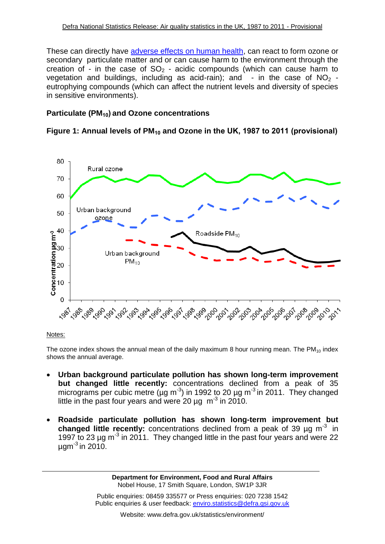These can directly have [adverse effects on human health,](http://www.airquality.co.uk/what_are_the_effects.php) can react to form ozone or secondary particulate matter and or can cause harm to the environment through the creation of - in the case of  $SO_2$  - acidic compounds (which can cause harm to vegetation and buildings, including as acid-rain); and  $-$  in the case of NO<sub>2</sub> eutrophying compounds (which can affect the nutrient levels and diversity of species in sensitive environments).

## **Particulate (PM10) and Ozone concentrations**

## **Figure 1: Annual levels of PM<sup>10</sup> and Ozone in the UK, 1987 to 2011 (provisional)**



#### Notes:

The ozone index shows the annual mean of the daily maximum 8 hour running mean. The  $PM_{10}$  index shows the annual average.

- **Urban background particulate pollution has shown long-term improvement but changed little recently:** concentrations declined from a peak of 35 micrograms per cubic metre ( $\mu$ g m<sup>-3</sup>) in 1992 to 20  $\mu$ g m<sup>-3</sup> in 2011. They changed little in the past four years and were 20  $\mu$ g m<sup>-3</sup> in 2010.
- **Roadside particulate pollution has shown long-term improvement but changed little recently:** concentrations declined from a peak of 39 µg m-3 in 1997 to 23  $\mu$ g m<sup>-3</sup> in 2011. They changed little in the past four years and were 22  $\mu$ gm $^{-3}$  in 2010.

**Department for Environment, Food and Rural Affairs** Nobel House, 17 Smith Square, London, SW1P 3JR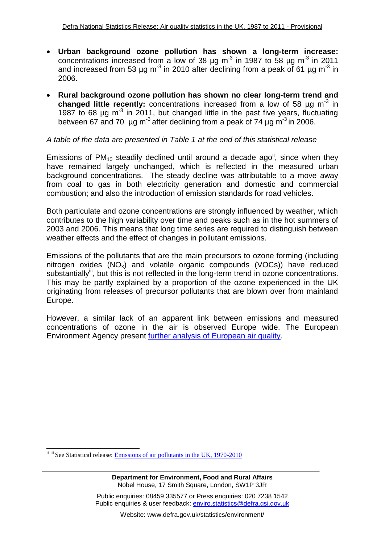- **Urban background ozone pollution has shown a long-term increase:**  concentrations increased from a low of 38  $\mu$ g m<sup>-3</sup> in 1987 to 58  $\mu$ g m<sup>-3</sup> in 2011 and increased from 53 µg m<sup>-3</sup> in 2010 after declining from a peak of 61 µg m<sup>-3</sup> in 2006.
- **Rural background ozone pollution has shown no clear long-term trend and** changed little recently: concentrations increased from a low of 58 µg m<sup>-3</sup> in 1987 to 68  $\mu$ g m<sup>-3</sup> in 2011, but changed little in the past five years, fluctuating between 67 and 70  $\mu$ g m<sup>-3</sup> after declining from a peak of 74  $\mu$ g m<sup>-3</sup> in 2006.

#### *A table of the data are presented in Table 1 at the end of this statistical release*

Emissions of PM<sub>10</sub> steadily declined until around a decade ago<sup>ii</sup>, since when they have remained largely unchanged, which is reflected in the measured urban background concentrations. The steady decline was attributable to a move away from coal to gas in both electricity generation and domestic and commercial combustion; and also the introduction of emission standards for road vehicles.

Both particulate and ozone concentrations are strongly influenced by weather, which contributes to the high variability over time and peaks such as in the hot summers of 2003 and 2006. This means that long time series are required to distinguish between weather effects and the effect of changes in pollutant emissions.

Emissions of the pollutants that are the main precursors to ozone forming (including nitrogen oxides  $(NO_x)$  and volatile organic compounds  $(VOCs)$ ) have reduced substantially<sup>iii</sup>, but this is not reflected in the long-term trend in ozone concentrations. This may be partly explained by a proportion of the ozone experienced in the UK originating from releases of precursor pollutants that are blown over from mainland Europe.

However, a similar lack of an apparent link between emissions and measured concentrations of ozone in the air is observed Europe wide. The European Environment Agency present [further analysis of European air quality.](http://www.eea.europa.eu/themes/air)

**Department for Environment, Food and Rural Affairs** Nobel House, 17 Smith Square, London, SW1P 3JR

<sup>1</sup> ii iii See Statistical release: [Emissions of air pollutants in the UK, 1970-2010](http://www.defra.gov.uk/statistics/environment/air-quality/air-pollutant-emissions-in-the-uk-1970-2010/)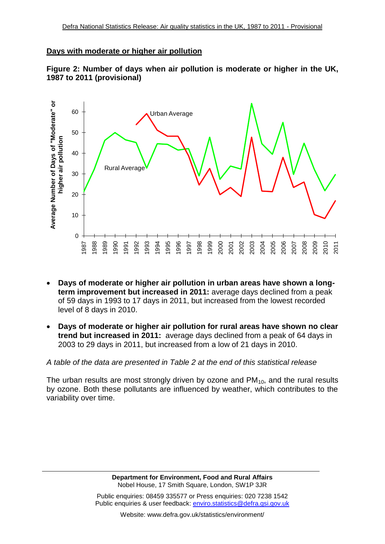#### **Days with moderate or higher air pollution**





- **Days of moderate or higher air pollution in urban areas have shown a longterm improvement but increased in 2011:** average days declined from a peak of 59 days in 1993 to 17 days in 2011, but increased from the lowest recorded level of 8 days in 2010.
- **Days of moderate or higher air pollution for rural areas have shown no clear trend but increased in 2011:** average days declined from a peak of 64 days in 2003 to 29 days in 2011, but increased from a low of 21 days in 2010.

*A table of the data are presented in Table 2 at the end of this statistical release*

The urban results are most strongly driven by ozone and  $PM<sub>10</sub>$ , and the rural results by ozone. Both these pollutants are influenced by weather, which contributes to the variability over time.

> **Department for Environment, Food and Rural Affairs** Nobel House, 17 Smith Square, London, SW1P 3JR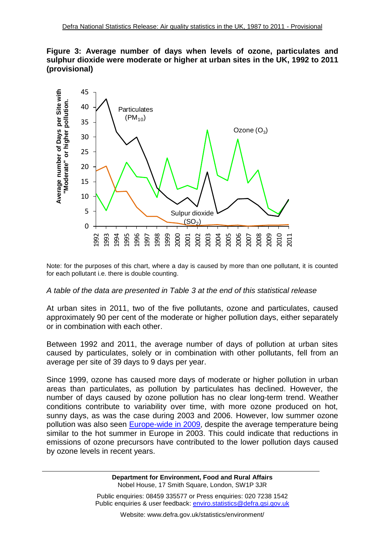



Note: for the purposes of this chart, where a day is caused by more than one pollutant, it is counted for each pollutant i.e. there is double counting.

#### *A table of the data are presented in Table 3 at the end of this statistical release*

At urban sites in 2011, two of the five pollutants, ozone and particulates, caused approximately 90 per cent of the moderate or higher pollution days, either separately or in combination with each other.

Between 1992 and 2011, the average number of days of pollution at urban sites caused by particulates, solely or in combination with other pollutants, fell from an average per site of 39 days to 9 days per year.

Since 1999, ozone has caused more days of moderate or higher pollution in urban areas than particulates, as pollution by particulates has declined. However, the number of days caused by ozone pollution has no clear long-term trend. Weather conditions contribute to variability over time, with more ozone produced on hot, sunny days, as was the case during 2003 and 2006. However, low summer ozone pollution was also seen **Europe-wide in 2009**, despite the average temperature being similar to the hot summer in Europe in 2003. This could indicate that reductions in emissions of ozone precursors have contributed to the lower pollution days caused by ozone levels in recent years.

> **Department for Environment, Food and Rural Affairs** Nobel House, 17 Smith Square, London, SW1P 3JR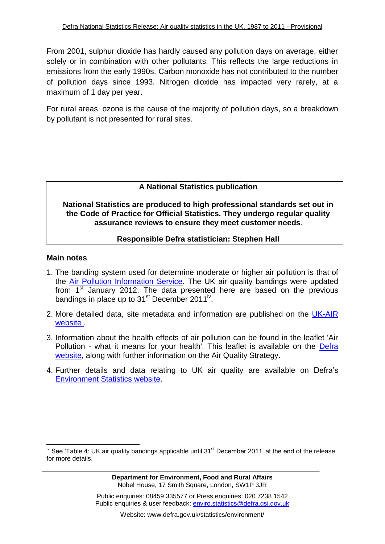From 2001, sulphur dioxide has hardly caused any pollution days on average, either solely or in combination with other pollutants. This reflects the large reductions in emissions from the early 1990s. Carbon monoxide has not contributed to the number of pollution days since 1993. Nitrogen dioxide has impacted very rarely, at a maximum of 1 day per year.

For rural areas, ozone is the cause of the majority of pollution days, so a breakdown by pollutant is not presented for rural sites.

## **A National Statistics publication**

**National Statistics are produced to high professional standards set out in the Code of Practice for Official Statistics. They undergo regular quality assurance reviews to ensure they meet customer needs.**

#### **Responsible Defra statistician: Stephen Hall**

#### **Main notes**

1

- 1. The banding system used for determine moderate or higher air pollution is that of the [Air Pollution Information Service.](http://www.airquality.co.uk/archive/standards.php#band) The UK air quality bandings were updated from  $1<sup>st</sup>$  January 2012. The data presented here are based on the previous bandings in place up to 31<sup>st</sup> December 2011<sup>iv</sup>.
- 2. More detailed data, site metadata and information are published on the [UK-AIR](http://www.airquality.co.uk/archive/index.php) [website](http://www.airquality.co.uk/archive/index.php) .
- 3. Information about the health effects of air pollution can be found in the leaflet 'Air Pollution - what it means for your health'. This leaflet is available on the [Defra](http://www.defra.gov.uk/environment/quality/air/airquality/publications/index.htm)  [website,](http://www.defra.gov.uk/environment/quality/air/airquality/publications/index.htm) along with further information on the Air Quality Strategy.
- 4. Further details and data relating to UK air quality are available on Defra's [Environment Statistics website.](http://www.defra.gov.uk/statistics/environment/)

 $\mu$ <sup>iv</sup> See 'Table 4: UK air quality bandings applicable until 31<sup>st</sup> December 2011' at the end of the release for more details.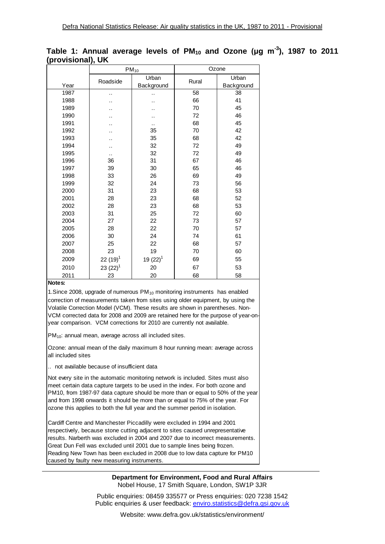| w    | ,,         | $PM_{10}$     | Ozone |            |  |  |
|------|------------|---------------|-------|------------|--|--|
|      | Roadside   | Urban         | Rural | Urban      |  |  |
| Year |            | Background    |       | Background |  |  |
| 1987 | . .        |               | 58    | 38         |  |  |
| 1988 |            |               | 66    | 41         |  |  |
| 1989 |            |               | 70    | 45         |  |  |
| 1990 |            |               | 72    | 46         |  |  |
| 1991 |            |               | 68    | 45         |  |  |
| 1992 |            | 35            | 70    | 42         |  |  |
| 1993 |            | 35            | 68    | 42         |  |  |
| 1994 |            | 32            | 72    | 49         |  |  |
| 1995 |            | 32            | 72    | 49         |  |  |
| 1996 | 36         | 31            | 67    | 46         |  |  |
| 1997 | 39         | 30            | 65    | 46         |  |  |
| 1998 | 33         | 26            | 69    | 49         |  |  |
| 1999 | 32         | 24            | 73    | 56         |  |  |
| 2000 | 31         | 23            | 68    | 53         |  |  |
| 2001 | 28         | 23            | 68    | 52         |  |  |
| 2002 | 28         | 23            | 68    | 53         |  |  |
| 2003 | 31         | 25            | 72    | 60         |  |  |
| 2004 | 27         | 22            | 73    | 57         |  |  |
| 2005 | 28         | 22            | 70    | 57         |  |  |
| 2006 | 30         | 24            | 74    | 61         |  |  |
| 2007 | 25         | 22            | 68    | 57         |  |  |
| 2008 | 23         | 19            | 70    | 60         |  |  |
| 2009 | $22(19)^1$ | 19 $(22)^{1}$ | 69    | 55         |  |  |
| 2010 | $23(22)^1$ | 20            | 67    | 53         |  |  |
| 2011 | 23         | 20            | 68    | 58         |  |  |

#### **Table 1: Annual average levels of PM<sup>10</sup> and Ozone (μg m-3 ), 1987 to 2011 (provisional), UK**

#### **Notes:**

1. Since 2008, upgrade of numerous  $PM_{10}$  monitoring instruments has enabled correction of measurements taken from sites using older equipment, by using the Volatile Correction Model (VCM). These results are shown in parentheses. Non-VCM corrected data for 2008 and 2009 are retained here for the purpose of year-onyear comparison. VCM corrections for 2010 are currently not available.

 $PM<sub>10</sub>$ : annual mean, average across all included sites.

Ozone: annual mean of the daily maximum 8 hour running mean: average across all included sites

.. not available because of insufficient data

Not every site in the automatic monitoring network is included. Sites must also meet certain data capture targets to be used in the index. For both ozone and PM10, from 1987-97 data capture should be more than or equal to 50% of the year and from 1998 onwards it should be more than or equal to 75% of the year. For ozone this applies to both the full year and the summer period in isolation.

Cardiff Centre and Manchester Piccadilly were excluded in 1994 and 2001 respectively, because stone cutting adjacent to sites caused unrepresentative results. Narberth was excluded in 2004 and 2007 due to incorrect measurements. Great Dun Fell was excluded until 2001 due to sample lines being frozen. Reading New Town has been excluded in 2008 due to low data capture for PM10 caused by faulty new measuring instruments.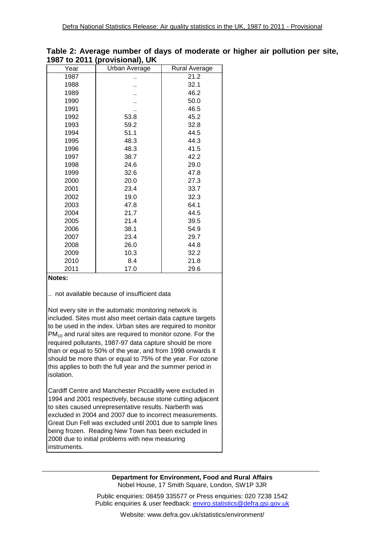| 1 JU 1 | <b>WEDIT (PROVISIONAL), UN</b> |               |
|--------|--------------------------------|---------------|
| Year   | Urban Average                  | Rural Average |
| 1987   |                                | 21.2          |
| 1988   |                                | 32.1          |
| 1989   |                                | 46.2          |
| 1990   |                                | 50.0          |
| 1991   |                                | 46.5          |
| 1992   | 53.8                           | 45.2          |
| 1993   | 59.2                           | 32.8          |
| 1994   | 51.1                           | 44.5          |
| 1995   | 48.3                           | 44.3          |
| 1996   | 48.3                           | 41.5          |
| 1997   | 38.7                           | 42.2          |
| 1998   | 24.6                           | 29.0          |
| 1999   | 32.6                           | 47.8          |
| 2000   | 20.0                           | 27.3          |
| 2001   | 23.4                           | 33.7          |
| 2002   | 19.0                           | 32.3          |
| 2003   | 47.8                           | 64.1          |
| 2004   | 21.7                           | 44.5          |
| 2005   | 21.4                           | 39.5          |
| 2006   | 38.1                           | 54.9          |
| 2007   | 23.4                           | 29.7          |
| 2008   | 26.0                           | 44.8          |
| 2009   | 10.3                           | 32.2          |
| 2010   | 8.4                            | 21.8          |
| 2011   | 17.0                           | 29.6          |

#### **Table 2: Average number of days of moderate or higher air pollution per site, 1987 to 2011 (provisional), UK**

**Notes:**

.. not available because of insufficient data

Not every site in the automatic monitoring network is included. Sites must also meet certain data capture targets to be used in the index. Urban sites are required to monitor  $PM_{10}$  and rural sites are required to monitor ozone. For the required pollutants, 1987-97 data capture should be more than or equal to 50% of the year, and from 1998 onwards it should be more than or equal to 75% of the year. For ozone this applies to both the full year and the summer period in isolation.

Cardiff Centre and Manchester Piccadilly were excluded in 1994 and 2001 respectively, because stone cutting adjacent to sites caused unrepresentative results. Narberth was excluded in 2004 and 2007 due to incorrect measurements. Great Dun Fell was excluded until 2001 due to sample lines being frozen. Reading New Town has been excluded in 2008 due to initial problems with new measuring instruments.

#### **Department for Environment, Food and Rural Affairs** Nobel House, 17 Smith Square, London, SW1P 3JR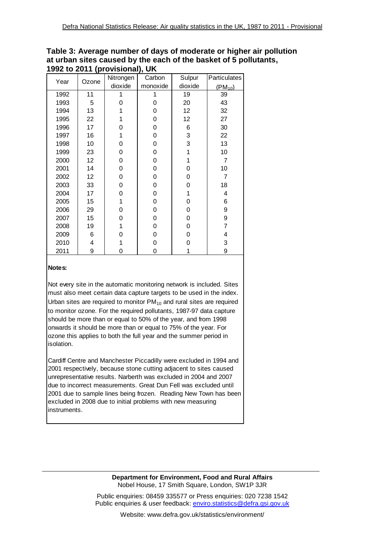| וטאַ געוטופוטיטון דו ט∡ צכנו |       |           |          |                 |              |  |  |  |
|------------------------------|-------|-----------|----------|-----------------|--------------|--|--|--|
| Year                         | Ozone | Nitrongen | Carbon   | Sulpur          | Particulates |  |  |  |
|                              |       | dioxide   | monoxide | dioxide         | $(PM_{10})$  |  |  |  |
| 1992                         | 11    | 1         | 19       |                 | 39           |  |  |  |
| 1993                         | 5     | 0         | 0        | 20              | 43           |  |  |  |
| 1994                         | 13    | 1         | 0        | 12 <sub>2</sub> | 32           |  |  |  |
| 1995                         | 22    | 1         | 0        | 12              | 27           |  |  |  |
| 1996                         | 17    | 0         | 0        | 6               | 30           |  |  |  |
| 1997                         | 16    | 1         | 0        | 3               | 22           |  |  |  |
| 1998                         | 10    | 0         | 0        | 3               | 13           |  |  |  |
| 1999                         | 23    | 0         | 0        | 1               | 10           |  |  |  |
| 2000                         | 12    | 0         | 0        | 1               | 7            |  |  |  |
| 2001                         | 14    | 0         | 0        | 0               | 10           |  |  |  |
| 2002                         | 12    | 0         | 0        | 0               | 7            |  |  |  |
| 2003                         | 33    | 0         | 0        | 0               | 18           |  |  |  |
| 2004                         | 17    | 0         | 0        | 1               | 4            |  |  |  |
| 2005                         | 15    | 1         | 0        | 0               | 6            |  |  |  |
| 2006                         | 29    | 0         | 0        | 0               | 9            |  |  |  |
| 2007                         | 15    | 0         | 0        | 0               | 9            |  |  |  |
| 2008                         | 19    | 1         | 0        | 0               | 7            |  |  |  |
| 2009                         | 6     | 0         | 0        | 0               | 4            |  |  |  |
| 2010                         | 4     | 1         | 0        | 0               | 3            |  |  |  |
| 2011                         | 9     | 0         | 0        | 1               | 9            |  |  |  |

**Table 3: Average number of days of moderate or higher air pollution at urban sites caused by the each of the basket of 5 pollutants, 1992 to 2011 (provisional), UK**

#### **Notes:**

Not every site in the automatic monitoring network is included. Sites must also meet certain data capture targets to be used in the index. Urban sites are required to monitor  $PM_{10}$  and rural sites are required to monitor ozone. For the required pollutants, 1987-97 data capture should be more than or equal to 50% of the year, and from 1998 onwards it should be more than or equal to 75% of the year. For ozone this applies to both the full year and the summer period in isolation.

Cardiff Centre and Manchester Piccadilly were excluded in 1994 and 2001 respectively, because stone cutting adjacent to sites caused unrepresentative results. Narberth was excluded in 2004 and 2007 due to incorrect measurements. Great Dun Fell was excluded until 2001 due to sample lines being frozen. Reading New Town has been excluded in 2008 due to initial problems with new measuring instruments.

> **Department for Environment, Food and Rural Affairs** Nobel House, 17 Smith Square, London, SW1P 3JR